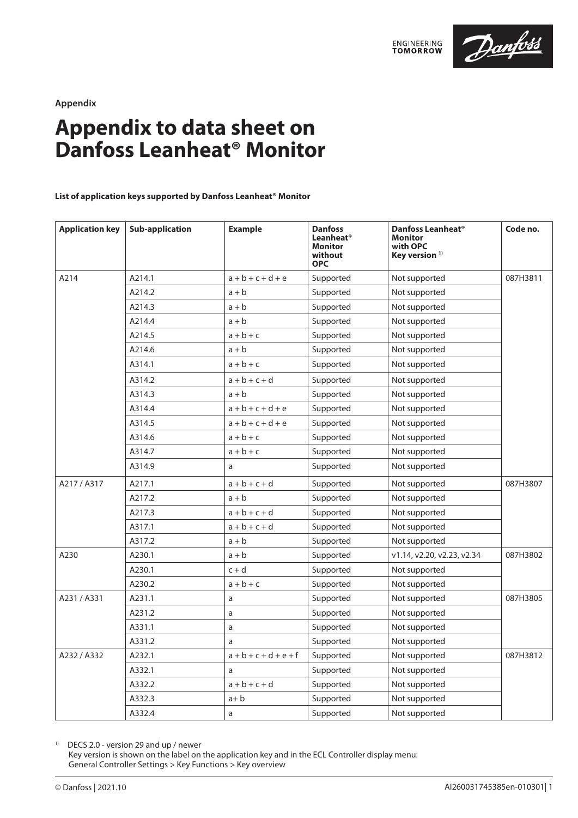



**Appendix**

# **Appendix to data sheet on Danfoss Leanheat® Monitor**

# **List of application keys supported by Danfoss Leanheat® Monitor**

| <b>Application key</b> | <b>Sub-application</b> | <b>Example</b>          | <b>Danfoss</b><br>Leanheat <sup>®</sup><br><b>Monitor</b><br>without<br><b>OPC</b> | Danfoss Leanheat <sup>®</sup><br><b>Monitor</b><br>with OPC<br>Key version <sup>1)</sup> | Code no. |
|------------------------|------------------------|-------------------------|------------------------------------------------------------------------------------|------------------------------------------------------------------------------------------|----------|
| A214                   | A214.1                 | $a + b + c + d + e$     | Supported                                                                          | Not supported                                                                            | 087H3811 |
|                        | A214.2                 | $a + b$                 | Supported                                                                          | Not supported                                                                            |          |
|                        | A214.3                 | $a + b$                 | Supported                                                                          | Not supported                                                                            |          |
|                        | A214.4                 | $a + b$                 | Supported                                                                          | Not supported                                                                            |          |
|                        | A214.5                 | $a + b + c$             | Supported                                                                          | Not supported                                                                            |          |
|                        | A214.6                 | $a + b$                 | Supported                                                                          | Not supported                                                                            |          |
|                        | A314.1                 | $a + b + c$             | Supported                                                                          | Not supported                                                                            |          |
|                        | A314.2                 | $a + b + c + d$         | Supported                                                                          | Not supported                                                                            |          |
|                        | A314.3                 | $a + b$                 | Supported                                                                          | Not supported                                                                            |          |
|                        | A314.4                 | $a+b+c+d+e$             | Supported                                                                          | Not supported                                                                            |          |
|                        | A314.5                 | $a+b+c+d+e$             | Supported                                                                          | Not supported                                                                            |          |
|                        | A314.6                 | $a + b + c$             | Supported                                                                          | Not supported                                                                            |          |
|                        | A314.7                 | $a + b + c$             | Supported                                                                          | Not supported                                                                            |          |
|                        | A314.9                 | a                       | Supported                                                                          | Not supported                                                                            |          |
| A217/A317              | A217.1                 | $a + b + c + d$         | Supported                                                                          | Not supported                                                                            | 087H3807 |
|                        | A217.2                 | $a + b$                 | Supported                                                                          | Not supported                                                                            |          |
|                        | A217.3                 | $a + b + c + d$         | Supported                                                                          | Not supported                                                                            |          |
|                        | A317.1                 | $a + b + c + d$         | Supported                                                                          | Not supported                                                                            |          |
|                        | A317.2                 | $a + b$                 | Supported                                                                          | Not supported                                                                            |          |
| A230                   | A230.1                 | $a + b$                 | Supported                                                                          | v1.14, v2.20, v2.23, v2.34                                                               | 087H3802 |
|                        | A230.1                 | $c + d$                 | Supported                                                                          | Not supported                                                                            |          |
|                        | A230.2                 | $a + b + c$             | Supported                                                                          | Not supported                                                                            |          |
| A231 / A331            | A231.1                 | a                       | Supported                                                                          | Not supported                                                                            | 087H3805 |
|                        | A231.2                 | a                       | Supported                                                                          | Not supported                                                                            |          |
|                        | A331.1                 | a                       | Supported                                                                          | Not supported                                                                            |          |
|                        | A331.2                 | a                       | Supported                                                                          | Not supported                                                                            |          |
| A232 / A332            | A232.1                 | $a + b + c + d + e + f$ | Supported                                                                          | Not supported                                                                            | 087H3812 |
|                        | A332.1                 | a                       | Supported                                                                          | Not supported                                                                            |          |
|                        | A332.2                 | $a + b + c + d$         | Supported                                                                          | Not supported                                                                            |          |
|                        | A332.3                 | $a + b$                 | Supported                                                                          | Not supported                                                                            |          |
|                        | A332.4                 | a                       | Supported                                                                          | Not supported                                                                            |          |

<sup>1)</sup> DECS 2.0 - version 29 and up / newer

Key version is shown on the label on the application key and in the ECL Controller display menu: General Controller Settings > Key Functions > Key overview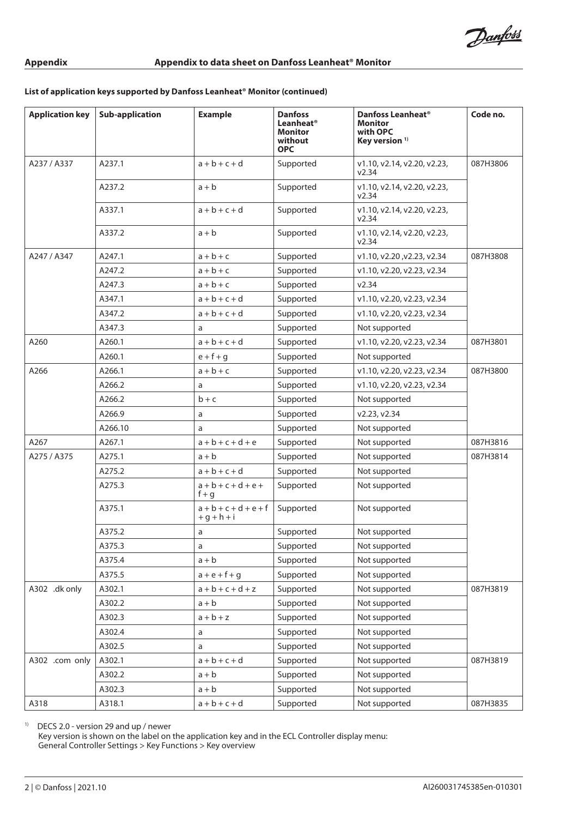# **List of application keys supported by Danfoss Leanheat® Monitor (continued)**

| <b>Application key</b> | <b>Sub-application</b> | <b>Example</b>                      | <b>Danfoss</b><br>Leanheat®<br>Monitor<br>without<br><b>OPC</b> | Danfoss Leanheat <sup>®</sup><br><b>Monitor</b><br>with OPC<br>Key version <sup>1)</sup> | Code no. |
|------------------------|------------------------|-------------------------------------|-----------------------------------------------------------------|------------------------------------------------------------------------------------------|----------|
| A237 / A337            | A237.1                 | $a + b + c + d$                     | Supported                                                       | v1.10, v2.14, v2.20, v2.23,<br>v2.34                                                     | 087H3806 |
|                        | A237.2                 | $a + b$                             | Supported                                                       | v1.10, v2.14, v2.20, v2.23,<br>v2.34                                                     |          |
|                        | A337.1                 | $a + b + c + d$                     | Supported                                                       | v1.10, v2.14, v2.20, v2.23,<br>v2.34                                                     |          |
|                        | A337.2                 | $a + b$                             | Supported                                                       | v1.10, v2.14, v2.20, v2.23,<br>v2.34                                                     |          |
| A247 / A347            | A247.1                 | $a + b + c$                         | Supported                                                       | v1.10, v2.20, v2.23, v2.34                                                               | 087H3808 |
|                        | A247.2                 | $a + b + c$                         | Supported                                                       | v1.10, v2.20, v2.23, v2.34                                                               |          |
|                        | A247.3                 | $a + b + c$                         | Supported                                                       | v2.34                                                                                    |          |
|                        | A347.1                 | $a + b + c + d$                     | Supported                                                       | v1.10, v2.20, v2.23, v2.34                                                               |          |
|                        | A347.2                 | $a + b + c + d$                     | Supported                                                       | v1.10, v2.20, v2.23, v2.34                                                               |          |
|                        | A347.3                 | a                                   | Supported                                                       | Not supported                                                                            |          |
| A260                   | A260.1                 | $a + b + c + d$                     | Supported                                                       | v1.10, v2.20, v2.23, v2.34                                                               | 087H3801 |
|                        | A260.1                 | $e + f + g$                         | Supported                                                       | Not supported                                                                            |          |
| A266                   | A266.1                 | $a + b + c$                         | Supported                                                       | v1.10, v2.20, v2.23, v2.34                                                               | 087H3800 |
|                        | A266.2                 | a                                   | Supported                                                       | v1.10, v2.20, v2.23, v2.34                                                               |          |
|                        | A266.2                 | $b + c$                             | Supported                                                       | Not supported                                                                            |          |
|                        | A266.9                 | a                                   | Supported                                                       | v2.23, v2.34                                                                             |          |
|                        | A266.10                | a                                   | Supported                                                       | Not supported                                                                            |          |
| A267                   | A267.1                 | $a + b + c + d + e$                 | Supported                                                       | Not supported                                                                            | 087H3816 |
| A275 / A375            | A275.1                 | $a + b$                             | Supported                                                       | Not supported                                                                            | 087H3814 |
|                        | A275.2                 | $a + b + c + d$                     | Supported                                                       | Not supported                                                                            |          |
|                        | A275.3                 | $a + b + c + d + e +$<br>$f + q$    | Supported                                                       | Not supported                                                                            |          |
|                        | A375.1                 | $a + b + c + d + e + f$<br>$+q+h+i$ | Supported                                                       | Not supported                                                                            |          |
|                        | A375.2                 | a                                   | Supported                                                       | Not supported                                                                            |          |
|                        | A375.3                 | a                                   | Supported                                                       | Not supported                                                                            |          |
|                        | A375.4                 | $a + b$                             | Supported                                                       | Not supported                                                                            |          |
|                        | A375.5                 | $a + e + f + g$                     | Supported                                                       | Not supported                                                                            |          |
| A302 .dk only          | A302.1                 | $a + b + c + d + z$                 | Supported                                                       | Not supported                                                                            | 087H3819 |
|                        | A302.2                 | $a + b$                             | Supported                                                       | Not supported                                                                            |          |
|                        | A302.3                 | $a + b + z$                         | Supported                                                       | Not supported                                                                            |          |
|                        | A302.4                 | a                                   | Supported                                                       | Not supported                                                                            |          |
|                        | A302.5                 | a                                   | Supported                                                       | Not supported                                                                            |          |
| A302 .com only         | A302.1                 | $a + b + c + d$                     | Supported                                                       | Not supported                                                                            | 087H3819 |
|                        | A302.2                 | $a + b$                             | Supported                                                       | Not supported                                                                            |          |
|                        | A302.3                 | $a + b$                             | Supported                                                       | Not supported                                                                            |          |
| A318                   | A318.1                 | $a + b + c + d$                     | Supported                                                       | Not supported                                                                            | 087H3835 |

1) DECS 2.0 - version 29 and up / newer

Key version is shown on the label on the application key and in the ECL Controller display menu: General Controller Settings > Key Functions > Key overview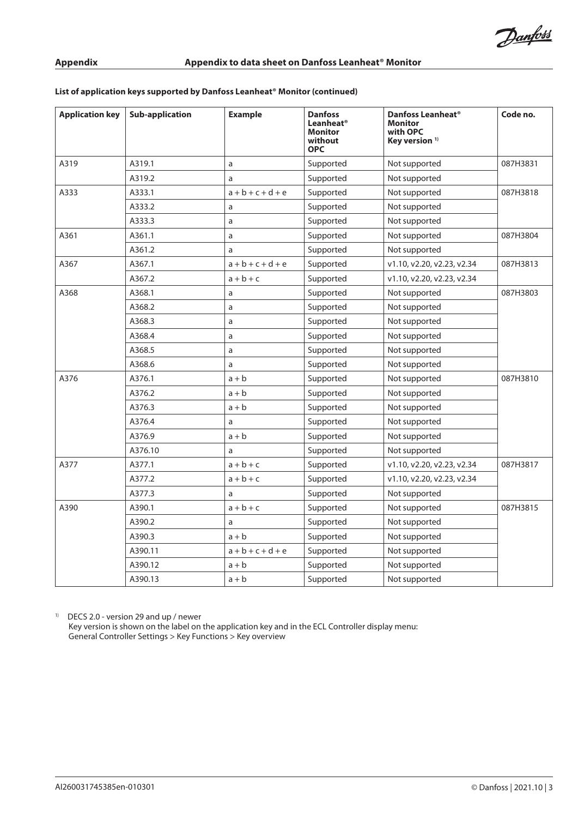# **List of application keys supported by Danfoss Leanheat® Monitor (continued)**

| <b>Application key</b> | <b>Sub-application</b> | <b>Example</b>      | <b>Danfoss</b><br>Leanheat®<br>Monitor<br>without<br><b>OPC</b> | Danfoss Leanheat <sup>®</sup><br><b>Monitor</b><br>with OPC<br>Key version $1$ | Code no. |
|------------------------|------------------------|---------------------|-----------------------------------------------------------------|--------------------------------------------------------------------------------|----------|
| A319                   | A319.1                 | a                   | Supported                                                       | Not supported                                                                  | 087H3831 |
|                        | A319.2                 | a                   | Supported                                                       | Not supported                                                                  |          |
| A333                   | A333.1                 | $a + b + c + d + e$ | Supported                                                       | Not supported                                                                  | 087H3818 |
|                        | A333.2                 | a                   | Supported                                                       | Not supported                                                                  |          |
|                        | A333.3                 | a                   | Supported                                                       | Not supported                                                                  |          |
| A361                   | A361.1                 | a                   | Supported                                                       | Not supported                                                                  | 087H3804 |
|                        | A361.2                 | a                   | Supported                                                       | Not supported                                                                  |          |
| A367                   | A367.1                 | $a + b + c + d + e$ | Supported                                                       | v1.10, v2.20, v2.23, v2.34                                                     | 087H3813 |
|                        | A367.2                 | $a + b + c$         | Supported                                                       | v1.10, v2.20, v2.23, v2.34                                                     |          |
| A368                   | A368.1                 | a                   | Supported                                                       | Not supported                                                                  | 087H3803 |
|                        | A368.2                 | a                   | Supported                                                       | Not supported                                                                  |          |
|                        | A368.3                 | a                   | Supported                                                       | Not supported                                                                  |          |
|                        | A368.4                 | a                   | Supported                                                       | Not supported                                                                  |          |
|                        | A368.5                 | a                   | Supported                                                       | Not supported                                                                  |          |
|                        | A368.6                 | a                   | Supported                                                       | Not supported                                                                  |          |
| A376                   | A376.1                 | $a + b$             | Supported                                                       | Not supported                                                                  | 087H3810 |
|                        | A376.2                 | $a + b$             | Supported                                                       | Not supported                                                                  |          |
|                        | A376.3                 | $a + b$             | Supported                                                       | Not supported                                                                  |          |
|                        | A376.4                 | a                   | Supported                                                       | Not supported                                                                  |          |
|                        | A376.9                 | $a + b$             | Supported                                                       | Not supported                                                                  |          |
|                        | A376.10                | a                   | Supported                                                       | Not supported                                                                  |          |
| A377                   | A377.1                 | $a + b + c$         | Supported                                                       | v1.10, v2.20, v2.23, v2.34                                                     | 087H3817 |
|                        | A377.2                 | $a + b + c$         | Supported                                                       | v1.10, v2.20, v2.23, v2.34                                                     |          |
|                        | A377.3                 | a                   | Supported                                                       | Not supported                                                                  |          |
| A390                   | A390.1                 | $a + b + c$         | Supported                                                       | Not supported                                                                  | 087H3815 |
|                        | A390.2                 | a                   | Supported                                                       | Not supported                                                                  |          |
|                        | A390.3                 | $a + b$             | Supported                                                       | Not supported                                                                  |          |
|                        | A390.11                | $a + b + c + d + e$ | Supported                                                       | Not supported                                                                  |          |
|                        | A390.12                | $a + b$             | Supported                                                       | Not supported                                                                  |          |
|                        | A390.13                | $a + b$             | Supported                                                       | Not supported                                                                  |          |

 $1)$  DECS 2.0 - version 29 and up / newer

Key version is shown on the label on the application key and in the ECL Controller display menu: General Controller Settings > Key Functions > Key overview